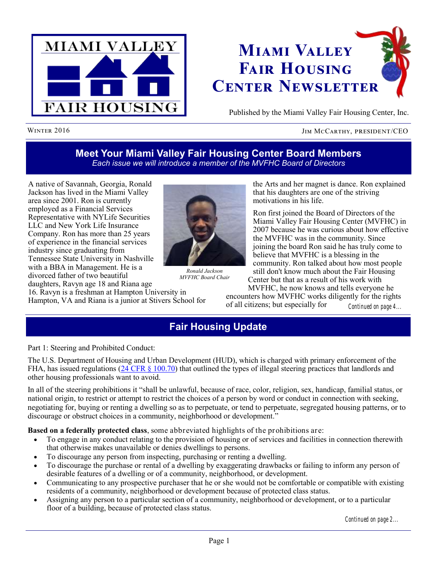



Published by the Miami Valley Fair Housing Center, Inc.

#### WINTER 2016 **JIM MCCARTHY, PRESIDENT/CEO**

### **Meet Your Miami Valley Fair Housing Center Board Members** *Each issue we will introduce a member of the MVFHC Board of Directors*

A native of Savannah, Georgia, Ronald Jackson has lived in the Miami Valley area since 2001. Ron is currently employed as a Financial Services Representative with NYLife Securities LLC and New York Life Insurance Company. Ron has more than 25 years of experience in the financial services industry since graduating from Tennessee State University in Nashville with a BBA in Management. He is a divorced father of two beautiful daughters, Ravyn age 18 and Riana age

16. Ravyn is a freshman at Hampton University in Hampton, VA and Riana is a junior at Stivers School for



*Ronald Jackson MVFHC Board Chair*

the Arts and her magnet is dance. Ron explained that his daughters are one of the striving motivations in his life.

Ron first joined the Board of Directors of the Miami Valley Fair Housing Center (MVFHC) in 2007 because he was curious about how effective the MVFHC was in the community. Since joining the board Ron said he has truly come to believe that MVFHC is a blessing in the community. Ron talked about how most people still don't know much about the Fair Housing

Center but that as a result of his work with MVFHC, he now knows and tells everyone he encounters how MVFHC works diligently for the rights of all citizens; but especially for *Continued on page 4...*

### **Fair Housing Update**

Part 1: Steering and Prohibited Conduct:

The U.S. Department of Housing and Urban Development (HUD), which is charged with primary enforcement of the FHA, has issued regulations  $(24 \text{ CFR} \text{ s } 100.70)$  that outlined the types of illegal steering practices that landlords and other housing professionals want to avoid.

In all of the steering prohibitions it "shall be unlawful, because of race, color, religion, sex, handicap, familial status, or national origin, to restrict or attempt to restrict the choices of a person by word or conduct in connection with seeking, negotiating for, buying or renting a dwelling so as to perpetuate, or tend to perpetuate, segregated housing patterns, or to discourage or obstruct choices in a community, neighborhood or development."

**Based on a federally protected class**, some abbreviated highlights of the prohibitions are:

- To engage in any conduct relating to the provision of housing or of services and facilities in connection therewith that otherwise makes unavailable or denies dwellings to persons.
- To discourage any person from inspecting, purchasing or renting a dwelling.
- To discourage the purchase or rental of a dwelling by exaggerating drawbacks or failing to inform any person of desirable features of a dwelling or of a community, neighborhood, or development.
- Communicating to any prospective purchaser that he or she would not be comfortable or compatible with existing residents of a community, neighborhood or development because of protected class status.
- Assigning any person to a particular section of a community, neighborhood or development, or to a particular floor of a building, because of protected class status.

*Continued on page 2...*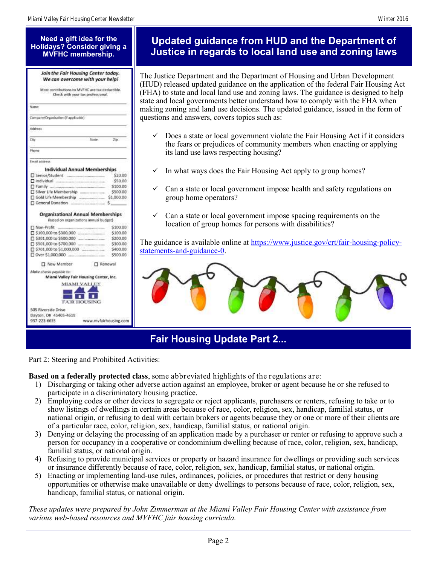#### **Need a gift idea for the Holidays? Consider giving a MVFHC membership.**

| Most contributions to MVFHC are tax deductible.<br>Check with your tax professional. |                                                                                    |         |
|--------------------------------------------------------------------------------------|------------------------------------------------------------------------------------|---------|
| Name                                                                                 |                                                                                    |         |
| Company/Organization (if applicable)                                                 |                                                                                    |         |
| Address.                                                                             |                                                                                    |         |
| City                                                                                 | State 2D                                                                           |         |
| Phone                                                                                |                                                                                    |         |
| <b>Email address</b>                                                                 |                                                                                    |         |
|                                                                                      | <b>Individual Annual Memberships</b>                                               |         |
| Senior/Student                                                                       |                                                                                    | \$20.00 |
|                                                                                      |                                                                                    | \$50.00 |
|                                                                                      | \$100.00                                                                           |         |
|                                                                                      | \$500.00                                                                           |         |
|                                                                                      |                                                                                    |         |
| General Donation                                                                     |                                                                                    |         |
|                                                                                      | <b>Organizational Annual Memberships</b><br>(based on organizations annual budget) |         |
|                                                                                      | \$100.00                                                                           |         |
|                                                                                      | \$100.00                                                                           |         |
|                                                                                      | \$200.00                                                                           |         |
| □ \$501,000 to \$700,000                                                             | \$300.00                                                                           |         |
|                                                                                      | \$400.00                                                                           |         |
| D Over \$1,000,000                                                                   | \$500.00                                                                           |         |
| New Member                                                                           | <b>D</b> Renewal                                                                   |         |
| Make checks payable ta:                                                              |                                                                                    |         |
|                                                                                      | Miami Valley Fair Housing Center, Inc.                                             |         |
|                                                                                      | MIAMI VALLEY                                                                       |         |
|                                                                                      | <b>FAIR HOUSING</b>                                                                |         |
| 505 Riverside Drive                                                                  |                                                                                    |         |
| Dayton, OH 45405-4619                                                                |                                                                                    |         |
| 937-223-6035                                                                         | www.mufairhousing.com                                                              |         |

### **Updated guidance from HUD and the Department of Justice in regards to local land use and zoning laws**

The Justice Department and the Department of Housing and Urban Development (HUD) released updated guidance on the application of the federal Fair Housing Act (FHA) to state and local land use and zoning laws. The guidance is designed to help state and local governments better understand how to comply with the FHA when making zoning and land use decisions. The updated guidance, issued in the form of questions and answers, covers topics such as:

- $\checkmark$  Does a state or local government violate the Fair Housing Act if it considers the fears or prejudices of community members when enacting or applying its land use laws respecting housing?
- $\checkmark$  In what ways does the Fair Housing Act apply to group homes?
- Can a state or local government impose health and safety regulations on group home operators?
- $\checkmark$  Can a state or local government impose spacing requirements on the location of group homes for persons with disabilities?

The guidance is available online at [https://www.justice.gov/crt/fair-housing-policy](https://www.justice.gov/crt/fair-housing-policy-statements-and-guidance-0)[statements-and-guidance-0.](https://www.justice.gov/crt/fair-housing-policy-statements-and-guidance-0)



# **Fair Housing Update Part 2...**

Part 2: Steering and Prohibited Activities:

**Based on a federally protected class**, some abbreviated highlights of the regulations are:

- 1) Discharging or taking other adverse action against an employee, broker or agent because he or she refused to participate in a discriminatory housing practice.
- 2) Employing codes or other devices to segregate or reject applicants, purchasers or renters, refusing to take or to show listings of dwellings in certain areas because of race, color, religion, sex, handicap, familial status, or national origin, or refusing to deal with certain brokers or agents because they or one or more of their clients are of a particular race, color, religion, sex, handicap, familial status, or national origin.
- 3) Denying or delaying the processing of an application made by a purchaser or renter or refusing to approve such a person for occupancy in a cooperative or condominium dwelling because of race, color, religion, sex, handicap, familial status, or national origin.
- 4) Refusing to provide municipal services or property or hazard insurance for dwellings or providing such services or insurance differently because of race, color, religion, sex, handicap, familial status, or national origin.
- 5) Enacting or implementing land-use rules, ordinances, policies, or procedures that restrict or deny housing opportunities or otherwise make unavailable or deny dwellings to persons because of race, color, religion, sex, handicap, familial status, or national origin.

*These updates were prepared by John Zimmerman at the Miami Valley Fair Housing Center with assistance from various web-based resources and MVFHC fair housing curricula.*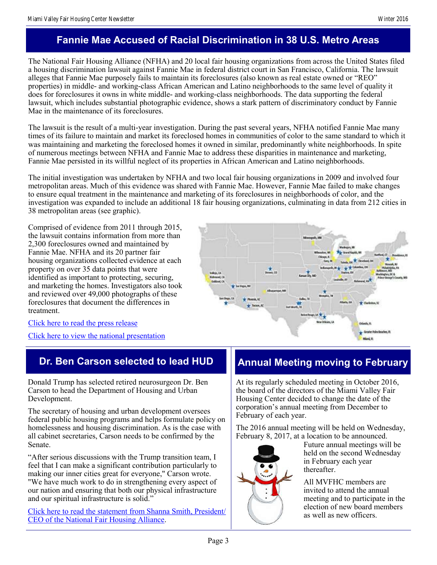# **Fannie Mae Accused of Racial Discrimination in 38 U.S. Metro Areas**

The National Fair Housing Alliance (NFHA) and 20 local fair housing organizations from across the United States filed a housing discrimination lawsuit against Fannie Mae in federal district court in San Francisco, California. The lawsuit alleges that Fannie Mae purposely fails to maintain its foreclosures (also known as real estate owned or "REO" properties) in middle- and working-class African American and Latino neighborhoods to the same level of quality it does for foreclosures it owns in white middle- and working-class neighborhoods. The data supporting the federal lawsuit, which includes substantial photographic evidence, shows a stark pattern of discriminatory conduct by Fannie Mae in the maintenance of its foreclosures.

The lawsuit is the result of a multi-year investigation. During the past several years, NFHA notified Fannie Mae many times of its failure to maintain and market its foreclosed homes in communities of color to the same standard to which it was maintaining and marketing the foreclosed homes it owned in similar, predominantly white neighborhoods. In spite of numerous meetings between NFHA and Fannie Mae to address these disparities in maintenance and marketing, Fannie Mae persisted in its willful neglect of its properties in African American and Latino neighborhoods.

The initial investigation was undertaken by NFHA and two local fair housing organizations in 2009 and involved four metropolitan areas. Much of this evidence was shared with Fannie Mae. However, Fannie Mae failed to make changes to ensure equal treatment in the maintenance and marketing of its foreclosures in neighborhoods of color, and the investigation was expanded to include an additional 18 fair housing organizations, culminating in data from 212 cities in 38 metropolitan areas (see graphic).

Comprised of evidence from 2011 through 2015, the lawsuit contains information from more than 2,300 foreclosures owned and maintained by Fannie Mae. NFHA and its 20 partner fair housing organizations collected evidence at each property on over 35 data points that were identified as important to protecting, securing, and marketing the homes. Investigators also took and reviewed over 49,000 photographs of these foreclosures that document the differences in treatment.



[Click here to read the press release](http://www.nationalfairhousing.org/Portals/33/FannieMae/2016-12-05_Fannie_Mae_news_release.PDF)

[Click here to view the national presentation](http://www.mvfairhousing.com/pdfs/2016-12-05_NFHA_Fannie_Mae/2016-12-05_Fannie_Mae_national_PowerPoint.PDF)

## **Dr. Ben Carson selected to lead HUD**

Donald Trump has selected retired neurosurgeon Dr. Ben Carson to head the Department of Housing and Urban Development.

The secretary of housing and urban development oversees federal public housing programs and helps formulate policy on homelessness and housing discrimination. As is the case with all cabinet secretaries, Carson needs to be confirmed by the Senate.

"After serious discussions with the Trump transition team, I feel that I can make a significant contribution particularly to making our inner cities great for everyone," Carson wrote. "We have much work to do in strengthening every aspect of our nation and ensuring that both our physical infrastructure and our spiritual infrastructure is solid."

[Click here to read the statement from Shanna Smith, President/](http://www.mvfairhousing.com/news.php?articleID=272) [CEO of the National Fair Housing Alliance.](http://www.mvfairhousing.com/news.php?articleID=272)

## **Annual Meeting moving to February**

At its regularly scheduled meeting in October 2016, the board of the directors of the Miami Valley Fair Housing Center decided to change the date of the corporation's annual meeting from December to February of each year.

The 2016 annual meeting will be held on Wednesday, February 8, 2017, at a location to be announced.



Future annual meetings will be held on the second Wednesday in February each year thereafter.

All MVFHC members are invited to attend the annual meeting and to participate in the election of new board members as well as new officers.